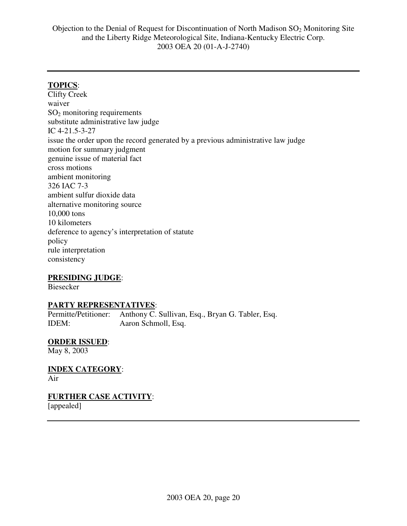## **TOPICS**:

Clifty Creek waiver SO<sup>2</sup> monitoring requirements substitute administrative law judge IC 4-21.5-3-27 issue the order upon the record generated by a previous administrative law judge motion for summary judgment genuine issue of material fact cross motions ambient monitoring 326 IAC 7-3 ambient sulfur dioxide data alternative monitoring source 10,000 tons 10 kilometers deference to agency's interpretation of statute policy rule interpretation consistency

### **PRESIDING JUDGE**:

Biesecker

#### **PARTY REPRESENTATIVES**:

Permitte/Petitioner: Anthony C. Sullivan, Esq., Bryan G. Tabler, Esq. IDEM: Aaron Schmoll, Esq.

### **ORDER ISSUED**:

May 8, 2003

**INDEX CATEGORY**: Air

**FURTHER CASE ACTIVITY**:

[appealed]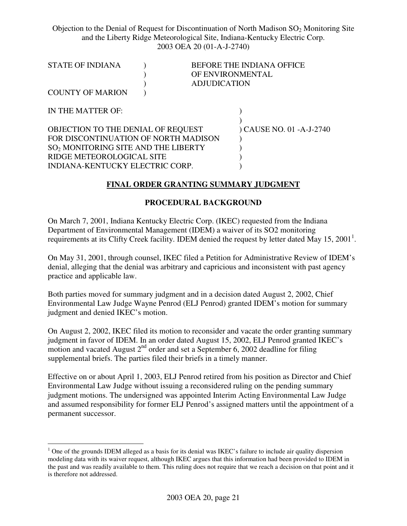| <b>STATE OF INDIANA</b>                                                                                                                                                                       | OF ENVIRONMENTAL    | <b>BEFORE THE INDIANA OFFICE</b> |
|-----------------------------------------------------------------------------------------------------------------------------------------------------------------------------------------------|---------------------|----------------------------------|
| <b>COUNTY OF MARION</b>                                                                                                                                                                       | <b>ADJUDICATION</b> |                                  |
| IN THE MATTER OF:                                                                                                                                                                             |                     |                                  |
| OBJECTION TO THE DENIAL OF REQUEST<br>FOR DISCONTINUATION OF NORTH MADISON<br>SO <sub>2</sub> MONITORING SITE AND THE LIBERTY<br>RIDGE METEOROLOGICAL SITE<br>INDIANA-KENTUCKY ELECTRIC CORP. |                     | ) CAUSE NO. 01 - A-J-2740        |
|                                                                                                                                                                                               |                     |                                  |

#### **FINAL ORDER GRANTING SUMMARY JUDGMENT**

#### **PROCEDURAL BACKGROUND**

On March 7, 2001, Indiana Kentucky Electric Corp. (IKEC) requested from the Indiana Department of Environmental Management (IDEM) a waiver of its SO2 monitoring requirements at its Clifty Creek facility. IDEM denied the request by letter dated May 15, 2001<sup>1</sup>.

On May 31, 2001, through counsel, IKEC filed a Petition for Administrative Review of IDEM's denial, alleging that the denial was arbitrary and capricious and inconsistent with past agency practice and applicable law.

Both parties moved for summary judgment and in a decision dated August 2, 2002, Chief Environmental Law Judge Wayne Penrod (ELJ Penrod) granted IDEM's motion for summary judgment and denied IKEC's motion.

On August 2, 2002, IKEC filed its motion to reconsider and vacate the order granting summary judgment in favor of IDEM. In an order dated August 15, 2002, ELJ Penrod granted IKEC's motion and vacated August  $2<sup>nd</sup>$  order and set a September 6, 2002 deadline for filing supplemental briefs. The parties filed their briefs in a timely manner.

Effective on or about April 1, 2003, ELJ Penrod retired from his position as Director and Chief Environmental Law Judge without issuing a reconsidered ruling on the pending summary judgment motions. The undersigned was appointed Interim Acting Environmental Law Judge and assumed responsibility for former ELJ Penrod's assigned matters until the appointment of a permanent successor.

<sup>&</sup>lt;sup>1</sup> One of the grounds IDEM alleged as a basis for its denial was IKEC's failure to include air quality dispersion modeling data with its waiver request, although IKEC argues that this information had been provided to IDEM in the past and was readily available to them. This ruling does not require that we reach a decision on that point and it is therefore not addressed.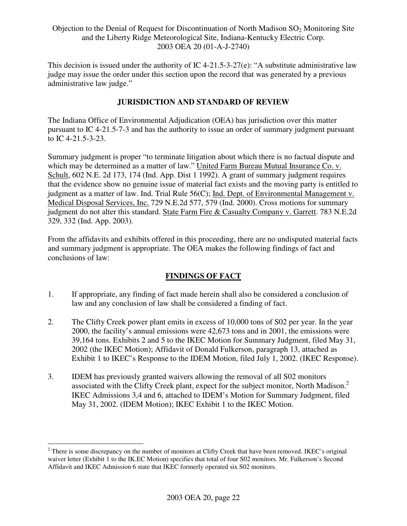This decision is issued under the authority of IC 4-21.5-3-27(e): "A substitute administrative law judge may issue the order under this section upon the record that was generated by a previous administrative law judge."

## **JURISDICTION AND STANDARD OF REVIEW**

The Indiana Office of Environmental Adjudication (OEA) has jurisdiction over this matter pursuant to IC 4-21.5-7-3 and has the authority to issue an order of summary judgment pursuant to IC 4-21.5-3-23.

Summary judgment is proper "to terminate litigation about which there is no factual dispute and which may be determined as a matter of law." United Farm Bureau Mutual Insurance Co. v. Schult, 602 N.E. 2d 173, 174 (Ind. App. Dist 1 1992). A grant of summary judgment requires that the evidence show no genuine issue of material fact exists and the moving party is entitled to judgment as a matter of law. Ind. Trial Rule 56(C); Ind. Dept. of Environmental Management v. Medical Disposal Services, Inc. 729 N.E.2d 577, 579 (Ind. 2000). Cross motions for summary judgment do not alter this standard. State Farm Fire & Casualty Company v. Garrett. 783 N.E.2d 329, 332 (Ind. App. 2003).

From the affidavits and exhibits offered in this proceeding, there are no undisputed material facts and summary judgment is appropriate. The OEA makes the following findings of fact and conclusions of law:

# **FINDINGS OF FACT**

- 1. If appropriate, any finding of fact made herein shall also be considered a conclusion of law and any conclusion of law shall be considered a finding of fact.
- 2. The Clifty Creek power plant emits in excess of 10,000 tons of S02 per year. In the year 2000, the facility's annual emissions were 42,673 tons and in 2001, the emissions were 39,164 tons. Exhibits 2 and 5 to the IKEC Motion for Summary Judgment, filed May 31, 2002 (the IKEC Motion); Affidavit of Donald Fulkerson, paragraph 13, attached as Exhibit 1 to IKEC's Response to the IDEM Motion, filed July 1, 2002. (IKEC Response).
- 3. IDEM has previously granted waivers allowing the removal of all S02 monitors associated with the Clifty Creek plant, expect for the subject monitor, North Madison.<sup>2</sup> IKEC Admissions 3,4 and 6, attached to IDEM's Motion for Summary Judgment, filed May 31, 2002. (IDEM Motion); IKEC Exhibit 1 to the IKEC Motion.

<sup>&</sup>lt;sup>2</sup> There is some discrepancy on the number of monitors at Clifty Creek that have been removed. IKEC's original waiver letter (Exhibit 1 to the IK.EC Motion) specifies that total of four S02 monitors. Mr. Fulkerson's Second Affidavit and IKEC Admission 6 state that IKEC formerly operated six S02 monitors.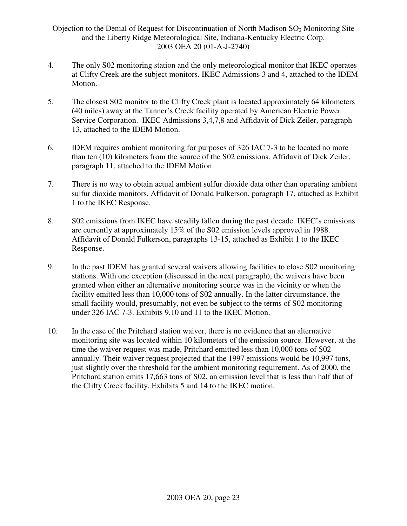- 4. The only S02 monitoring station and the only meteorological monitor that IKEC operates at Clifty Creek are the subject monitors. IKEC Admissions 3 and 4, attached to the IDEM Motion.
- 5. The closest S02 monitor to the Clifty Creek plant is located approximately 64 kilometers (40 miles) away at the Tanner's Creek facility operated by American Electric Power Service Corporation. IKEC Admissions 3,4,7,8 and Affidavit of Dick Zeiler, paragraph 13, attached to the IDEM Motion.
- 6. IDEM requires ambient monitoring for purposes of 326 IAC 7-3 to be located no more than ten (10) kilometers from the source of the S02 emissions. Affidavit of Dick Zeiler, paragraph 11, attached to the IDEM Motion.
- 7. There is no way to obtain actual ambient sulfur dioxide data other than operating ambient sulfur dioxide monitors. Affidavit of Donald Fulkerson, paragraph 17, attached as Exhibit 1 to the IKEC Response.
- 8. S02 emissions from IKEC have steadily fallen during the past decade. IKEC's emissions are currently at approximately 15% of the S02 emission levels approved in 1988. Affidavit of Donald Fulkerson, paragraphs 13-15, attached as Exhibit 1 to the IKEC Response.
- 9. In the past IDEM has granted several waivers allowing facilities to close S02 monitoring stations. With one exception (discussed in the next paragraph), the waivers have been granted when either an alternative monitoring source was in the vicinity or when the facility emitted less than 10,000 tons of S02 annually. In the latter circumstance, the small facility would, presumably, not even be subject to the terms of S02 monitoring under 326 IAC 7-3. Exhibits 9,10 and 11 to the IKEC Motion.
- 10. In the case of the Pritchard station waiver, there is no evidence that an alternative monitoring site was located within 10 kilometers of the emission source. However, at the time the waiver request was made, Pritchard emitted less than 10,000 tons of S02 annually. Their waiver request projected that the 1997 emissions would be 10,997 tons, just slightly over the threshold for the ambient monitoring requirement. As of 2000, the Pritchard station emits 17,663 tons of S02, an emission level that is less than half that of the Clifty Creek facility. Exhibits 5 and 14 to the IKEC motion.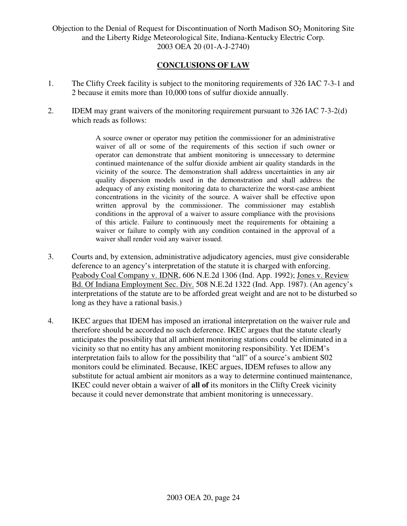### **CONCLUSIONS OF LAW**

- 1. The Clifty Creek facility is subject to the monitoring requirements of 326 IAC 7-3-1 and 2 because it emits more than 10,000 tons of sulfur dioxide annually.
- 2. IDEM may grant waivers of the monitoring requirement pursuant to 326 IAC 7-3-2(d) which reads as follows:

A source owner or operator may petition the commissioner for an administrative waiver of all or some of the requirements of this section if such owner or operator can demonstrate that ambient monitoring is unnecessary to determine continued maintenance of the sulfur dioxide ambient air quality standards in the vicinity of the source. The demonstration shall address uncertainties in any air quality dispersion models used in the demonstration and shall address the adequacy of any existing monitoring data to characterize the worst-case ambient concentrations in the vicinity of the source. A waiver shall be effective upon written approval by the commissioner. The commissioner may establish conditions in the approval of a waiver to assure compliance with the provisions of this article. Failure to continuously meet the requirements for obtaining a waiver or failure to comply with any condition contained in the approval of a waiver shall render void any waiver issued.

- 3. Courts and, by extension, administrative adjudicatory agencies, must give considerable deference to an agency's interpretation of the statute it is charged with enforcing. Peabody Coal Company v. IDNR, 606 N.E.2d 1306 (Ind. App. 1992); Jones v. Review Bd. Of Indiana Employment Sec. Div. 508 N.E.2d 1322 (Ind. App. 1987). (An agency's interpretations of the statute are to be afforded great weight and are not to be disturbed so long as they have a rational basis.)
- 4. IKEC argues that IDEM has imposed an irrational interpretation on the waiver rule and therefore should be accorded no such deference. IKEC argues that the statute clearly anticipates the possibility that all ambient monitoring stations could be eliminated in a vicinity so that no entity has any ambient monitoring responsibility. Yet IDEM's interpretation fails to allow for the possibility that "all" of a source's ambient S02 monitors could be eliminated. Because, IKEC argues, IDEM refuses to allow any substitute for actual ambient air monitors as a way to determine continued maintenance, IKEC could never obtain a waiver of **all of** its monitors in the Clifty Creek vicinity because it could never demonstrate that ambient monitoring is unnecessary.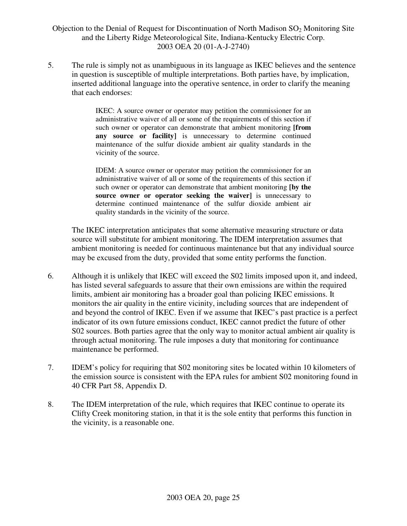5. The rule is simply not as unambiguous in its language as IKEC believes and the sentence in question is susceptible of multiple interpretations. Both parties have, by implication, inserted additional language into the operative sentence, in order to clarify the meaning that each endorses:

> IKEC: A source owner or operator may petition the commissioner for an administrative waiver of all or some of the requirements of this section if such owner or operator can demonstrate that ambient monitoring **[from any source or facility]** is unnecessary to determine continued maintenance of the sulfur dioxide ambient air quality standards in the vicinity of the source.

> IDEM: A source owner or operator may petition the commissioner for an administrative waiver of all or some of the requirements of this section if such owner or operator can demonstrate that ambient monitoring **[by the source owner or operator seeking the waiver]** is unnecessary to determine continued maintenance of the sulfur dioxide ambient air quality standards in the vicinity of the source.

The IKEC interpretation anticipates that some alternative measuring structure or data source will substitute for ambient monitoring. The IDEM interpretation assumes that ambient monitoring is needed for continuous maintenance but that any individual source may be excused from the duty, provided that some entity performs the function.

- 6. Although it is unlikely that IKEC will exceed the S02 limits imposed upon it, and indeed, has listed several safeguards to assure that their own emissions are within the required limits, ambient air monitoring has a broader goal than policing IKEC emissions. It monitors the air quality in the entire vicinity, including sources that are independent of and beyond the control of IKEC. Even if we assume that IKEC's past practice is a perfect indicator of its own future emissions conduct, IKEC cannot predict the future of other S02 sources. Both parties agree that the only way to monitor actual ambient air quality is through actual monitoring. The rule imposes a duty that monitoring for continuance maintenance be performed.
- 7. IDEM's policy for requiring that S02 monitoring sites be located within 10 kilometers of the emission source is consistent with the EPA rules for ambient S02 monitoring found in 40 CFR Part 58, Appendix D.
- 8. The IDEM interpretation of the rule, which requires that IKEC continue to operate its Clifty Creek monitoring station, in that it is the sole entity that performs this function in the vicinity, is a reasonable one.